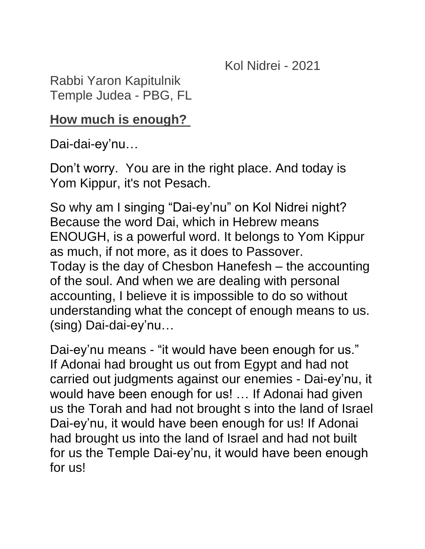Kol Nidrei - 2021

Rabbi Yaron Kapitulnik Temple Judea - PBG, FL

## **How much is enough?**

Dai-dai-ey'nu…

Don't worry. You are in the right place. And today is Yom Kippur, it's not Pesach.

So why am I singing "Dai-ey'nu" on Kol Nidrei night? Because the word Dai, which in Hebrew means ENOUGH, is a powerful word. It belongs to Yom Kippur as much, if not more, as it does to Passover. Today is the day of Chesbon Hanefesh – the accounting of the soul. And when we are dealing with personal accounting, I believe it is impossible to do so without understanding what the concept of enough means to us. (sing) Dai-dai-ey'nu…

Dai-ey'nu means - "it would have been enough for us." If Adonai had brought us out from Egypt and had not carried out judgments against our enemies - Dai-ey'nu, it would have been enough for us! … If Adonai had given us the Torah and had not brought s into the land of Israel Dai-ey'nu, it would have been enough for us! If Adonai had brought us into the land of Israel and had not built for us the Temple Dai-ey'nu, it would have been enough for us!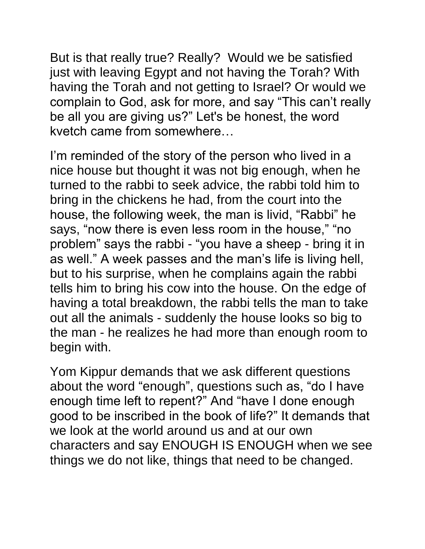But is that really true? Really? Would we be satisfied just with leaving Egypt and not having the Torah? With having the Torah and not getting to Israel? Or would we complain to God, ask for more, and say "This can't really be all you are giving us?" Let's be honest, the word kvetch came from somewhere…

I'm reminded of the story of the person who lived in a nice house but thought it was not big enough, when he turned to the rabbi to seek advice, the rabbi told him to bring in the chickens he had, from the court into the house, the following week, the man is livid, "Rabbi" he says, "now there is even less room in the house," "no problem" says the rabbi - "you have a sheep - bring it in as well." A week passes and the man's life is living hell, but to his surprise, when he complains again the rabbi tells him to bring his cow into the house. On the edge of having a total breakdown, the rabbi tells the man to take out all the animals - suddenly the house looks so big to the man - he realizes he had more than enough room to begin with.

Yom Kippur demands that we ask different questions about the word "enough", questions such as, "do I have enough time left to repent?" And "have I done enough good to be inscribed in the book of life?" It demands that we look at the world around us and at our own characters and say ENOUGH IS ENOUGH when we see things we do not like, things that need to be changed.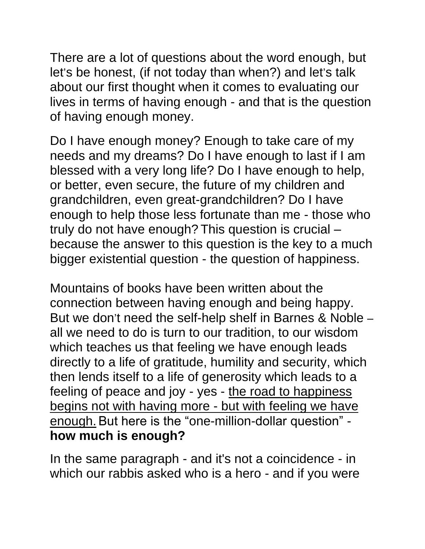There are a lot of questions about the word enough, but let's be honest, (if not today than when?) and let's talk about our first thought when it comes to evaluating our lives in terms of having enough - and that is the question of having enough money.

Do I have enough money? Enough to take care of my needs and my dreams? Do I have enough to last if I am blessed with a very long life? Do I have enough to help, or better, even secure, the future of my children and grandchildren, even great-grandchildren? Do I have enough to help those less fortunate than me - those who truly do not have enough? This question is crucial – because the answer to this question is the key to a much bigger existential question - the question of happiness.

Mountains of books have been written about the connection between having enough and being happy. But we don't need the self-help shelf in Barnes & Noble – all we need to do is turn to our tradition, to our wisdom which teaches us that feeling we have enough leads directly to a life of gratitude, humility and security, which then lends itself to a life of generosity which leads to a feeling of peace and joy - yes - the road to happiness begins not with having more - but with feeling we have enough.But here is the "one-million-dollar question" **how much is enough?**

In the same paragraph - and it's not a coincidence - in which our rabbis asked who is a hero - and if you were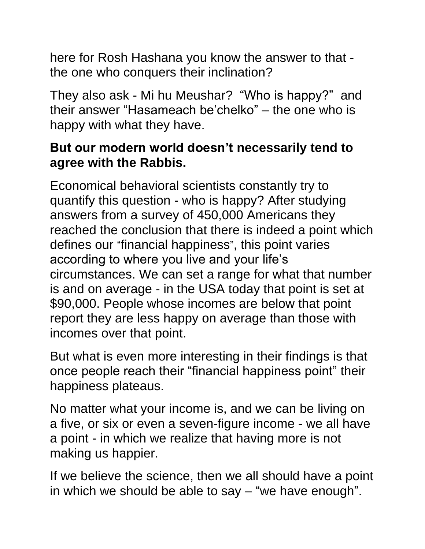here for Rosh Hashana you know the answer to that the one who conquers their inclination?

They also ask - Mi hu Meushar? "Who is happy?" and their answer "Hasameach be'chelko" – the one who is happy with what they have.

## **But our modern world doesn't necessarily tend to agree with the Rabbis.**

Economical behavioral scientists constantly try to quantify this question - who is happy? After studying answers from a survey of 450,000 Americans they reached the conclusion that there is indeed a point which defines our "financial happiness", this point varies according to where you live and your life's circumstances. We can set a range for what that number is and on average - in the USA today that point is set at \$90,000. People whose incomes are below that point report they are less happy on average than those with incomes over that point.

But what is even more interesting in their findings is that once people reach their "financial happiness point" their happiness plateaus.

No matter what your income is, and we can be living on a five, or six or even a seven-figure income - we all have a point - in which we realize that having more is not making us happier.

If we believe the science, then we all should have a point in which we should be able to say – "we have enough".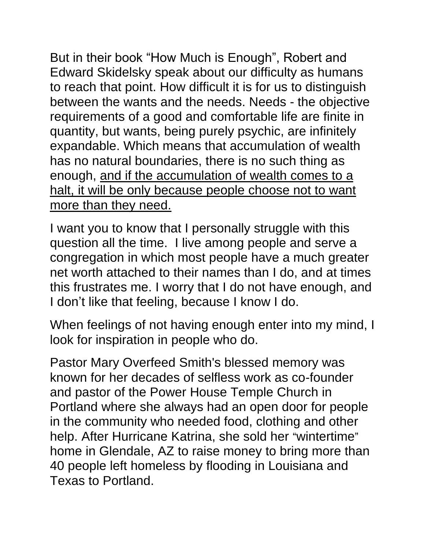But in their book "How Much is Enough", Robert and Edward Skidelsky speak about our difficulty as humans to reach that point. How difficult it is for us to distinguish between the wants and the needs. Needs - the objective requirements of a good and comfortable life are finite in quantity, but wants, being purely psychic, are infinitely expandable. Which means that accumulation of wealth has no natural boundaries, there is no such thing as enough, and if the accumulation of wealth comes to a halt, it will be only because people choose not to want more than they need.

I want you to know that I personally struggle with this question all the time. I live among people and serve a congregation in which most people have a much greater net worth attached to their names than I do, and at times this frustrates me. I worry that I do not have enough, and I don't like that feeling, because I know I do.

When feelings of not having enough enter into my mind, I look for inspiration in people who do.

Pastor Mary Overfeed Smith's blessed memory was known for her decades of selfless work as co-founder and pastor of the Power House Temple Church in Portland where she always had an open door for people in the community who needed food, clothing and other help. After Hurricane Katrina, she sold her "wintertime" home in Glendale, AZ to raise money to bring more than 40 people left homeless by flooding in Louisiana and Texas to Portland.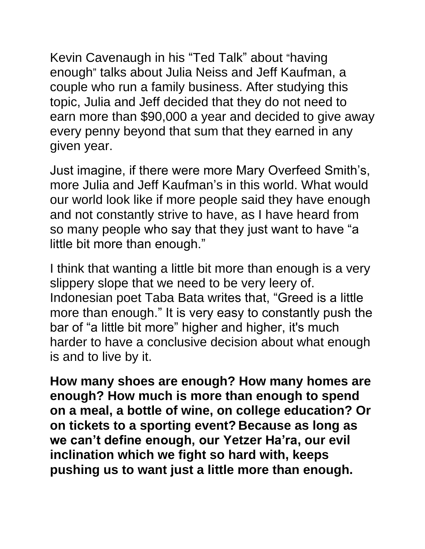Kevin Cavenaugh in his "Ted Talk" about "having enough" talks about Julia Neiss and Jeff Kaufman, a couple who run a family business. After studying this topic, Julia and Jeff decided that they do not need to earn more than \$90,000 a year and decided to give away every penny beyond that sum that they earned in any given year.

Just imagine, if there were more Mary Overfeed Smith's, more Julia and Jeff Kaufman's in this world. What would our world look like if more people said they have enough and not constantly strive to have, as I have heard from so many people who say that they just want to have "a little bit more than enough."

I think that wanting a little bit more than enough is a very slippery slope that we need to be very leery of. Indonesian poet Taba Bata writes that, "Greed is a little more than enough." It is very easy to constantly push the bar of "a little bit more" higher and higher, it's much harder to have a conclusive decision about what enough is and to live by it.

**How many shoes are enough? How many homes are enough? How much is more than enough to spend on a meal, a bottle of wine, on college education? Or on tickets to a sporting event? Because as long as we can't define enough, our Yetzer Ha'ra, our evil inclination which we fight so hard with, keeps pushing us to want just a little more than enough.**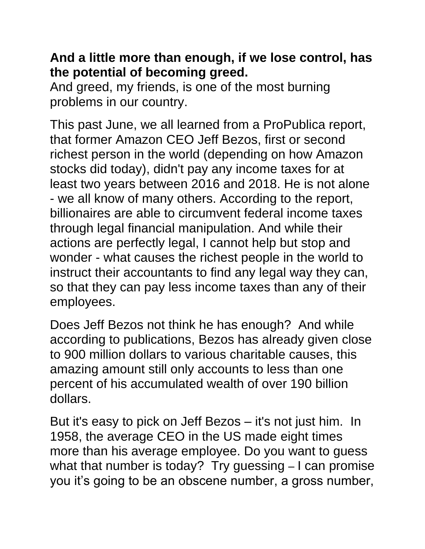## **And a little more than enough, if we lose control, has the potential of becoming greed.**

And greed, my friends, is one of the most burning problems in our country.

This past June, we all learned from a ProPublica report, that former Amazon CEO Jeff Bezos, first or second richest person in the world (depending on how Amazon stocks did today), didn't pay any income taxes for at least two years between 2016 and 2018. He is not alone - we all know of many others. According to the report, billionaires are able to circumvent federal income taxes through legal financial manipulation. And while their actions are perfectly legal, I cannot help but stop and wonder - what causes the richest people in the world to instruct their accountants to find any legal way they can, so that they can pay less income taxes than any of their employees.

Does Jeff Bezos not think he has enough? And while according to publications, Bezos has already given close to 900 million dollars to various charitable causes, this amazing amount still only accounts to less than one percent of his accumulated wealth of over 190 billion dollars.

But it's easy to pick on Jeff Bezos – it's not just him. In 1958, the average CEO in the US made eight times more than his average employee. Do you want to guess what that number is today? Try guessing - I can promise you it's going to be an obscene number, a gross number,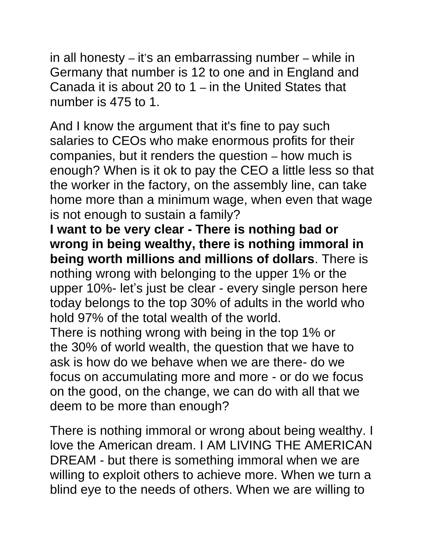in all honesty – it's an embarrassing number – while in Germany that number is 12 to one and in England and Canada it is about 20 to 1 – in the United States that number is 475 to 1.

And I know the argument that it's fine to pay such salaries to CEOs who make enormous profits for their companies, but it renders the question – how much is enough? When is it ok to pay the CEO a little less so that the worker in the factory, on the assembly line, can take home more than a minimum wage, when even that wage is not enough to sustain a family?

**I want to be very clear - There is nothing bad or wrong in being wealthy, there is nothing immoral in being worth millions and millions of dollars**. There is nothing wrong with belonging to the upper 1% or the upper 10%- let's just be clear - every single person here today belongs to the top 30% of adults in the world who hold 97% of the total wealth of the world.

There is nothing wrong with being in the top 1% or the 30% of world wealth, the question that we have to ask is how do we behave when we are there- do we focus on accumulating more and more - or do we focus on the good, on the change, we can do with all that we deem to be more than enough?

There is nothing immoral or wrong about being wealthy. I love the American dream. I AM LIVING THE AMERICAN DREAM - but there is something immoral when we are willing to exploit others to achieve more. When we turn a blind eye to the needs of others. When we are willing to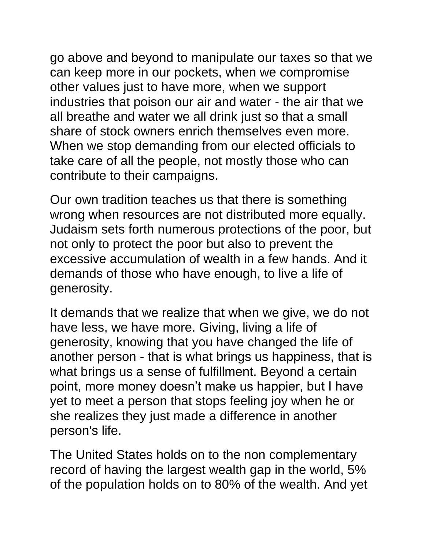go above and beyond to manipulate our taxes so that we can keep more in our pockets, when we compromise other values just to have more, when we support industries that poison our air and water - the air that we all breathe and water we all drink just so that a small share of stock owners enrich themselves even more. When we stop demanding from our elected officials to take care of all the people, not mostly those who can contribute to their campaigns.

Our own tradition teaches us that there is something wrong when resources are not distributed more equally. Judaism sets forth numerous protections of the poor, but not only to protect the poor but also to prevent the excessive accumulation of wealth in a few hands. And it demands of those who have enough, to live a life of generosity.

It demands that we realize that when we give, we do not have less, we have more. Giving, living a life of generosity, knowing that you have changed the life of another person - that is what brings us happiness, that is what brings us a sense of fulfillment. Beyond a certain point, more money doesn't make us happier, but I have yet to meet a person that stops feeling joy when he or she realizes they just made a difference in another person's life.

The United States holds on to the non complementary record of having the largest wealth gap in the world, 5% of the population holds on to 80% of the wealth. And yet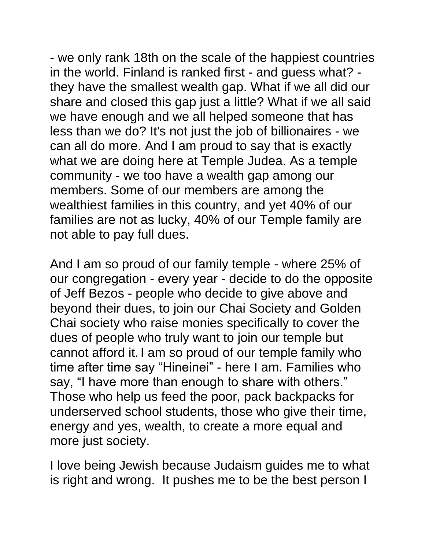- we only rank 18th on the scale of the happiest countries in the world. Finland is ranked first - and guess what? they have the smallest wealth gap. What if we all did our share and closed this gap just a little? What if we all said we have enough and we all helped someone that has less than we do? It's not just the job of billionaires - we can all do more. And I am proud to say that is exactly what we are doing here at Temple Judea. As a temple community - we too have a wealth gap among our members. Some of our members are among the wealthiest families in this country, and yet 40% of our families are not as lucky, 40% of our Temple family are not able to pay full dues.

And I am so proud of our family temple - where 25% of our congregation - every year - decide to do the opposite of Jeff Bezos - people who decide to give above and beyond their dues, to join our Chai Society and Golden Chai society who raise monies specifically to cover the dues of people who truly want to join our temple but cannot afford it. I am so proud of our temple family who time after time say "Hineinei" - here I am. Families who say, "I have more than enough to share with others." Those who help us feed the poor, pack backpacks for underserved school students, those who give their time, energy and yes, wealth, to create a more equal and more just society.

I love being Jewish because Judaism guides me to what is right and wrong. It pushes me to be the best person I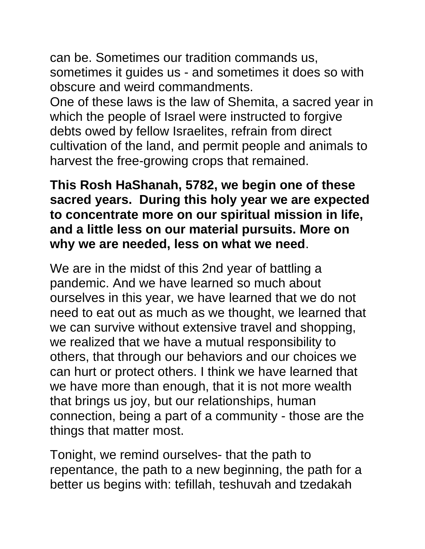can be. Sometimes our tradition commands us, sometimes it guides us - and sometimes it does so with obscure and weird commandments.

One of these laws is the law of Shemita, a sacred year in which the people of Israel were instructed to forgive debts owed by fellow Israelites, refrain from direct cultivation of the land, and permit people and animals to harvest the free-growing crops that remained.

## **This Rosh HaShanah, 5782, we begin one of these sacred years. During this holy year we are expected to concentrate more on our spiritual mission in life, and a little less on our material pursuits. More on why we are needed, less on what we need**.

We are in the midst of this 2nd year of battling a pandemic. And we have learned so much about ourselves in this year, we have learned that we do not need to eat out as much as we thought, we learned that we can survive without extensive travel and shopping, we realized that we have a mutual responsibility to others, that through our behaviors and our choices we can hurt or protect others. I think we have learned that we have more than enough, that it is not more wealth that brings us joy, but our relationships, human connection, being a part of a community - those are the things that matter most.

Tonight, we remind ourselves- that the path to repentance, the path to a new beginning, the path for a better us begins with: tefillah, teshuvah and tzedakah